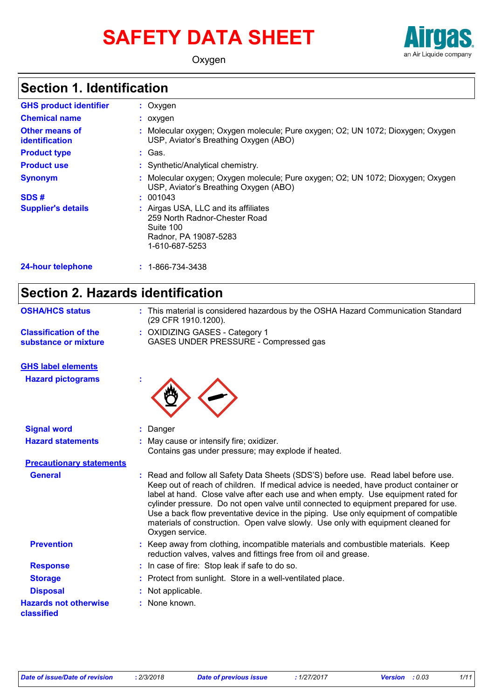# **SAFETY DATA SHEET**



Oxygen

### **Section 1. Identification**

| <b>GHS product identifier</b>                  | $:$ Oxygen                                                                                                                    |
|------------------------------------------------|-------------------------------------------------------------------------------------------------------------------------------|
| <b>Chemical name</b>                           | $:$ oxygen                                                                                                                    |
| <b>Other means of</b><br><b>identification</b> | : Molecular oxygen; Oxygen molecule; Pure oxygen; O2; UN 1072; Dioxygen; Oxygen<br>USP, Aviator's Breathing Oxygen (ABO)      |
| <b>Product type</b>                            | : Gas.                                                                                                                        |
| <b>Product use</b>                             | : Synthetic/Analytical chemistry.                                                                                             |
| <b>Synonym</b>                                 | : Molecular oxygen; Oxygen molecule; Pure oxygen; O2; UN 1072; Dioxygen; Oxygen<br>USP, Aviator's Breathing Oxygen (ABO)      |
| SDS#                                           | : 001043                                                                                                                      |
| <b>Supplier's details</b>                      | : Airgas USA, LLC and its affiliates<br>259 North Radnor-Chester Road<br>Suite 100<br>Radnor, PA 19087-5283<br>1-610-687-5253 |
| <b>24-hour telephone</b>                       | $: 1 - 866 - 734 - 3438$                                                                                                      |

### **Section 2. Hazards identification**

| <b>OSHA/HCS status</b>                               | : This material is considered hazardous by the OSHA Hazard Communication Standard<br>(29 CFR 1910.1200).                                                                                                                                                                                                                                                                                                                                                                                                                                              |
|------------------------------------------------------|-------------------------------------------------------------------------------------------------------------------------------------------------------------------------------------------------------------------------------------------------------------------------------------------------------------------------------------------------------------------------------------------------------------------------------------------------------------------------------------------------------------------------------------------------------|
| <b>Classification of the</b><br>substance or mixture | : OXIDIZING GASES - Category 1<br>GASES UNDER PRESSURE - Compressed gas                                                                                                                                                                                                                                                                                                                                                                                                                                                                               |
| <b>GHS label elements</b>                            |                                                                                                                                                                                                                                                                                                                                                                                                                                                                                                                                                       |
| <b>Hazard pictograms</b>                             |                                                                                                                                                                                                                                                                                                                                                                                                                                                                                                                                                       |
| <b>Signal word</b>                                   | : Danger                                                                                                                                                                                                                                                                                                                                                                                                                                                                                                                                              |
| <b>Hazard statements</b>                             | : May cause or intensify fire; oxidizer.<br>Contains gas under pressure; may explode if heated.                                                                                                                                                                                                                                                                                                                                                                                                                                                       |
| <b>Precautionary statements</b>                      |                                                                                                                                                                                                                                                                                                                                                                                                                                                                                                                                                       |
| <b>General</b>                                       | Read and follow all Safety Data Sheets (SDS'S) before use. Read label before use.<br>Keep out of reach of children. If medical advice is needed, have product container or<br>label at hand. Close valve after each use and when empty. Use equipment rated for<br>cylinder pressure. Do not open valve until connected to equipment prepared for use.<br>Use a back flow preventative device in the piping. Use only equipment of compatible<br>materials of construction. Open valve slowly. Use only with equipment cleaned for<br>Oxygen service. |
| <b>Prevention</b>                                    | : Keep away from clothing, incompatible materials and combustible materials. Keep<br>reduction valves, valves and fittings free from oil and grease.                                                                                                                                                                                                                                                                                                                                                                                                  |
| <b>Response</b>                                      | : In case of fire: Stop leak if safe to do so.                                                                                                                                                                                                                                                                                                                                                                                                                                                                                                        |
| <b>Storage</b>                                       | : Protect from sunlight. Store in a well-ventilated place.                                                                                                                                                                                                                                                                                                                                                                                                                                                                                            |
| <b>Disposal</b>                                      | : Not applicable.                                                                                                                                                                                                                                                                                                                                                                                                                                                                                                                                     |
| <b>Hazards not otherwise</b><br>classified           | : None known.                                                                                                                                                                                                                                                                                                                                                                                                                                                                                                                                         |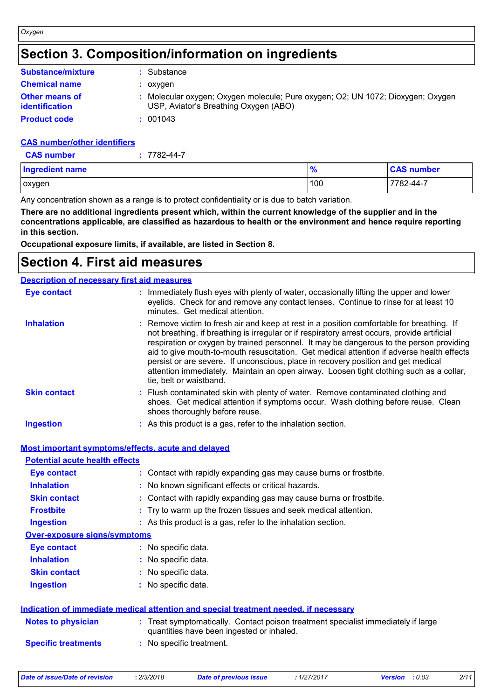### **Section 3. Composition/information on ingredients**

| <b>Substance/mixture</b>                       | : Substance                                                                                                              |
|------------------------------------------------|--------------------------------------------------------------------------------------------------------------------------|
| <b>Chemical name</b>                           | : oxvgen                                                                                                                 |
| <b>Other means of</b><br><i>identification</i> | : Molecular oxygen; Oxygen molecule; Pure oxygen; O2; UN 1072; Dioxygen; Oxygen<br>USP, Aviator's Breathing Oxygen (ABO) |
| <b>Product code</b>                            | : 001043                                                                                                                 |

#### **CAS number/other identifiers**

*Oxygen*

| <b>CAS number</b> | $: 7782 - 44 - 7$ |  |
|-------------------|-------------------|--|
|                   |                   |  |

| <b>Ingredient name</b> | 70  | <b>CAS number</b> |
|------------------------|-----|-------------------|
| oxygen                 | 100 | 7782-44-7         |

Any concentration shown as a range is to protect confidentiality or is due to batch variation.

**There are no additional ingredients present which, within the current knowledge of the supplier and in the concentrations applicable, are classified as hazardous to health or the environment and hence require reporting in this section.**

**Occupational exposure limits, if available, are listed in Section 8.**

### **Section 4. First aid measures**

| <b>Description of necessary first aid measures</b> |                                                                                                                                                                                                                                                                                                                                                                                                                                                                                                                                                                                              |
|----------------------------------------------------|----------------------------------------------------------------------------------------------------------------------------------------------------------------------------------------------------------------------------------------------------------------------------------------------------------------------------------------------------------------------------------------------------------------------------------------------------------------------------------------------------------------------------------------------------------------------------------------------|
| <b>Eye contact</b>                                 | : Immediately flush eyes with plenty of water, occasionally lifting the upper and lower<br>eyelids. Check for and remove any contact lenses. Continue to rinse for at least 10<br>minutes. Get medical attention.                                                                                                                                                                                                                                                                                                                                                                            |
| <b>Inhalation</b>                                  | : Remove victim to fresh air and keep at rest in a position comfortable for breathing. If<br>not breathing, if breathing is irregular or if respiratory arrest occurs, provide artificial<br>respiration or oxygen by trained personnel. It may be dangerous to the person providing<br>aid to give mouth-to-mouth resuscitation. Get medical attention if adverse health effects<br>persist or are severe. If unconscious, place in recovery position and get medical<br>attention immediately. Maintain an open airway. Loosen tight clothing such as a collar,<br>tie, belt or waistband. |
| <b>Skin contact</b>                                | : Flush contaminated skin with plenty of water. Remove contaminated clothing and<br>shoes. Get medical attention if symptoms occur. Wash clothing before reuse. Clean<br>shoes thoroughly before reuse.                                                                                                                                                                                                                                                                                                                                                                                      |
| <b>Ingestion</b>                                   | : As this product is a gas, refer to the inhalation section.                                                                                                                                                                                                                                                                                                                                                                                                                                                                                                                                 |

| Most important symptoms/effects, acute and delaved |  |
|----------------------------------------------------|--|
|                                                    |  |

| <b>Potential acute health effects</b> |                                                                                                                                |
|---------------------------------------|--------------------------------------------------------------------------------------------------------------------------------|
| <b>Eye contact</b>                    | : Contact with rapidly expanding gas may cause burns or frostbite.                                                             |
| <b>Inhalation</b>                     | : No known significant effects or critical hazards.                                                                            |
| <b>Skin contact</b>                   | : Contact with rapidly expanding gas may cause burns or frostbite.                                                             |
| <b>Frostbite</b>                      | : Try to warm up the frozen tissues and seek medical attention.                                                                |
| <b>Ingestion</b>                      | : As this product is a gas, refer to the inhalation section.                                                                   |
| <b>Over-exposure signs/symptoms</b>   |                                                                                                                                |
| Eye contact                           | : No specific data.                                                                                                            |
| <b>Inhalation</b>                     | : No specific data.                                                                                                            |
| <b>Skin contact</b>                   | : No specific data.                                                                                                            |
| <b>Ingestion</b>                      | : No specific data.                                                                                                            |
|                                       | Indication of immediate medical attention and special treatment needed, if necessary                                           |
| <b>Notes to physician</b>             | : Treat symptomatically. Contact poison treatment specialist immediately if large<br>quantities have been ingested or inhaled. |
| <b>Specific treatments</b>            | : No specific treatment.                                                                                                       |
|                                       |                                                                                                                                |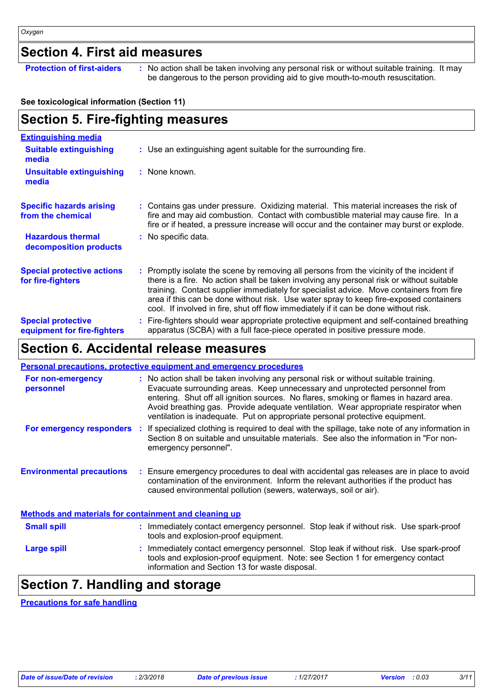### **Section 4. First aid measures**

**Protection of first-aiders** : No action shall be taken involving any personal risk or without suitable training. It may be dangerous to the person providing aid to give mouth-to-mouth resuscitation.

#### **See toxicological information (Section 11)**

### **Section 5. Fire-fighting measures**

| <u>Extinguishing media</u>                               |                                                                                                                                                                                                                                                                                                                                                                                                                                                                     |
|----------------------------------------------------------|---------------------------------------------------------------------------------------------------------------------------------------------------------------------------------------------------------------------------------------------------------------------------------------------------------------------------------------------------------------------------------------------------------------------------------------------------------------------|
| <b>Suitable extinguishing</b><br>media                   | : Use an extinguishing agent suitable for the surrounding fire.                                                                                                                                                                                                                                                                                                                                                                                                     |
| Unsuitable extinguishing<br>media                        | : None known.                                                                                                                                                                                                                                                                                                                                                                                                                                                       |
| <b>Specific hazards arising</b><br>from the chemical     | : Contains gas under pressure. Oxidizing material. This material increases the risk of<br>fire and may aid combustion. Contact with combustible material may cause fire. In a<br>fire or if heated, a pressure increase will occur and the container may burst or explode.                                                                                                                                                                                          |
| <b>Hazardous thermal</b><br>decomposition products       | : No specific data.                                                                                                                                                                                                                                                                                                                                                                                                                                                 |
| <b>Special protective actions</b><br>for fire-fighters   | : Promptly isolate the scene by removing all persons from the vicinity of the incident if<br>there is a fire. No action shall be taken involving any personal risk or without suitable<br>training. Contact supplier immediately for specialist advice. Move containers from fire<br>area if this can be done without risk. Use water spray to keep fire-exposed containers<br>cool. If involved in fire, shut off flow immediately if it can be done without risk. |
| <b>Special protective</b><br>equipment for fire-fighters | Fire-fighters should wear appropriate protective equipment and self-contained breathing<br>apparatus (SCBA) with a full face-piece operated in positive pressure mode.                                                                                                                                                                                                                                                                                              |

### **Section 6. Accidental release measures**

|                                                              | <b>Personal precautions, protective equipment and emergency procedures</b>                                                                                                                                                                                                                                                                                                                                                          |
|--------------------------------------------------------------|-------------------------------------------------------------------------------------------------------------------------------------------------------------------------------------------------------------------------------------------------------------------------------------------------------------------------------------------------------------------------------------------------------------------------------------|
| For non-emergency<br>personnel                               | : No action shall be taken involving any personal risk or without suitable training.<br>Evacuate surrounding areas. Keep unnecessary and unprotected personnel from<br>entering. Shut off all ignition sources. No flares, smoking or flames in hazard area.<br>Avoid breathing gas. Provide adequate ventilation. Wear appropriate respirator when<br>ventilation is inadequate. Put on appropriate personal protective equipment. |
|                                                              | For emergency responders : If specialized clothing is required to deal with the spillage, take note of any information in<br>Section 8 on suitable and unsuitable materials. See also the information in "For non-<br>emergency personnel".                                                                                                                                                                                         |
| <b>Environmental precautions</b>                             | : Ensure emergency procedures to deal with accidental gas releases are in place to avoid<br>contamination of the environment. Inform the relevant authorities if the product has<br>caused environmental pollution (sewers, waterways, soil or air).                                                                                                                                                                                |
| <b>Methods and materials for containment and cleaning up</b> |                                                                                                                                                                                                                                                                                                                                                                                                                                     |
| <b>Small spill</b>                                           | : Immediately contact emergency personnel. Stop leak if without risk. Use spark-proof<br>tools and explosion-proof equipment.                                                                                                                                                                                                                                                                                                       |
| <b>Large spill</b>                                           | : Immediately contact emergency personnel. Stop leak if without risk. Use spark-proof<br>tools and explosion-proof equipment. Note: see Section 1 for emergency contact<br>information and Section 13 for waste disposal.                                                                                                                                                                                                           |

### **Section 7. Handling and storage**

**Precautions for safe handling**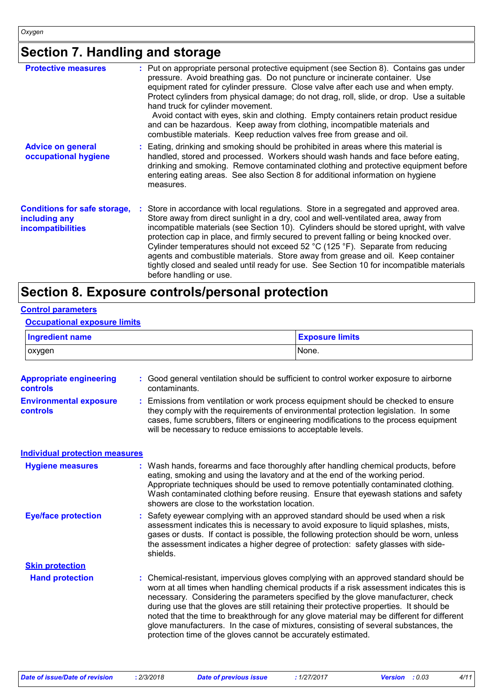### **Section 7. Handling and storage**

| <b>Protective measures</b>                                                       | : Put on appropriate personal protective equipment (see Section 8). Contains gas under<br>pressure. Avoid breathing gas. Do not puncture or incinerate container. Use<br>equipment rated for cylinder pressure. Close valve after each use and when empty.<br>Protect cylinders from physical damage; do not drag, roll, slide, or drop. Use a suitable<br>hand truck for cylinder movement.<br>Avoid contact with eyes, skin and clothing. Empty containers retain product residue<br>and can be hazardous. Keep away from clothing, incompatible materials and<br>combustible materials. Keep reduction valves free from grease and oil.                    |
|----------------------------------------------------------------------------------|---------------------------------------------------------------------------------------------------------------------------------------------------------------------------------------------------------------------------------------------------------------------------------------------------------------------------------------------------------------------------------------------------------------------------------------------------------------------------------------------------------------------------------------------------------------------------------------------------------------------------------------------------------------|
| <b>Advice on general</b><br>occupational hygiene                                 | : Eating, drinking and smoking should be prohibited in areas where this material is<br>handled, stored and processed. Workers should wash hands and face before eating,<br>drinking and smoking. Remove contaminated clothing and protective equipment before<br>entering eating areas. See also Section 8 for additional information on hygiene<br>measures.                                                                                                                                                                                                                                                                                                 |
| <b>Conditions for safe storage,</b><br>including any<br><b>incompatibilities</b> | : Store in accordance with local regulations. Store in a segregated and approved area.<br>Store away from direct sunlight in a dry, cool and well-ventilated area, away from<br>incompatible materials (see Section 10). Cylinders should be stored upright, with valve<br>protection cap in place, and firmly secured to prevent falling or being knocked over.<br>Cylinder temperatures should not exceed 52 °C (125 °F). Separate from reducing<br>agents and combustible materials. Store away from grease and oil. Keep container<br>tightly closed and sealed until ready for use. See Section 10 for incompatible materials<br>before handling or use. |

### **Section 8. Exposure controls/personal protection**

#### **Control parameters**

#### **Occupational exposure limits**

| <b>Ingredient name</b>                           |  |                                                                                                                                | <b>Exposure limits</b>                                                                                                                                                                                                                                                                                                                                                                                                                                                                                                                              |  |
|--------------------------------------------------|--|--------------------------------------------------------------------------------------------------------------------------------|-----------------------------------------------------------------------------------------------------------------------------------------------------------------------------------------------------------------------------------------------------------------------------------------------------------------------------------------------------------------------------------------------------------------------------------------------------------------------------------------------------------------------------------------------------|--|
| oxygen                                           |  |                                                                                                                                | None.                                                                                                                                                                                                                                                                                                                                                                                                                                                                                                                                               |  |
| <b>Appropriate engineering</b><br>controls       |  | contaminants.                                                                                                                  | Good general ventilation should be sufficient to control worker exposure to airborne                                                                                                                                                                                                                                                                                                                                                                                                                                                                |  |
| <b>Environmental exposure</b><br><b>controls</b> |  | will be necessary to reduce emissions to acceptable levels.                                                                    | Emissions from ventilation or work process equipment should be checked to ensure<br>they comply with the requirements of environmental protection legislation. In some<br>cases, fume scrubbers, filters or engineering modifications to the process equipment                                                                                                                                                                                                                                                                                      |  |
| <b>Individual protection measures</b>            |  |                                                                                                                                |                                                                                                                                                                                                                                                                                                                                                                                                                                                                                                                                                     |  |
| <b>Hygiene measures</b>                          |  | eating, smoking and using the lavatory and at the end of the working period.<br>showers are close to the workstation location. | Wash hands, forearms and face thoroughly after handling chemical products, before<br>Appropriate techniques should be used to remove potentially contaminated clothing.<br>Wash contaminated clothing before reusing. Ensure that eyewash stations and safety                                                                                                                                                                                                                                                                                       |  |
| <b>Eye/face protection</b>                       |  | shields.                                                                                                                       | Safety eyewear complying with an approved standard should be used when a risk<br>assessment indicates this is necessary to avoid exposure to liquid splashes, mists,<br>gases or dusts. If contact is possible, the following protection should be worn, unless<br>the assessment indicates a higher degree of protection: safety glasses with side-                                                                                                                                                                                                |  |
| <b>Skin protection</b>                           |  |                                                                                                                                |                                                                                                                                                                                                                                                                                                                                                                                                                                                                                                                                                     |  |
| <b>Hand protection</b>                           |  | protection time of the gloves cannot be accurately estimated.                                                                  | Chemical-resistant, impervious gloves complying with an approved standard should be<br>worn at all times when handling chemical products if a risk assessment indicates this is<br>necessary. Considering the parameters specified by the glove manufacturer, check<br>during use that the gloves are still retaining their protective properties. It should be<br>noted that the time to breakthrough for any glove material may be different for different<br>glove manufacturers. In the case of mixtures, consisting of several substances, the |  |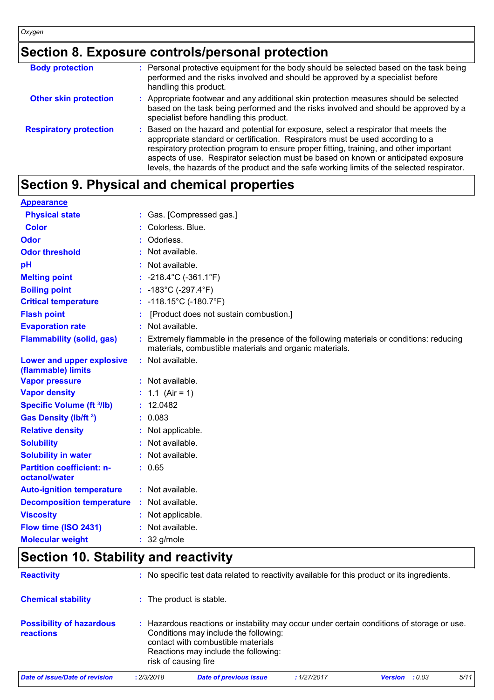### **Section 8. Exposure controls/personal protection**

| <b>Body protection</b>        | : Personal protective equipment for the body should be selected based on the task being<br>performed and the risks involved and should be approved by a specialist before<br>handling this product.                                                                                                                                                                                                                                                   |
|-------------------------------|-------------------------------------------------------------------------------------------------------------------------------------------------------------------------------------------------------------------------------------------------------------------------------------------------------------------------------------------------------------------------------------------------------------------------------------------------------|
| <b>Other skin protection</b>  | : Appropriate footwear and any additional skin protection measures should be selected<br>based on the task being performed and the risks involved and should be approved by a<br>specialist before handling this product.                                                                                                                                                                                                                             |
| <b>Respiratory protection</b> | : Based on the hazard and potential for exposure, select a respirator that meets the<br>appropriate standard or certification. Respirators must be used according to a<br>respiratory protection program to ensure proper fitting, training, and other important<br>aspects of use. Respirator selection must be based on known or anticipated exposure<br>levels, the hazards of the product and the safe working limits of the selected respirator. |

## **Section 9. Physical and chemical properties**

| <b>Appearance</b>                                 |                                                                                                                                                     |
|---------------------------------------------------|-----------------------------------------------------------------------------------------------------------------------------------------------------|
| <b>Physical state</b>                             | : Gas. [Compressed gas.]                                                                                                                            |
| <b>Color</b>                                      | Colorless, Blue.                                                                                                                                    |
| Odor                                              | Odorless.                                                                                                                                           |
| <b>Odor threshold</b>                             | Not available.                                                                                                                                      |
| pH                                                | Not available.                                                                                                                                      |
| <b>Melting point</b>                              | : $-218.4^{\circ}$ C ( $-361.1^{\circ}$ F)                                                                                                          |
| <b>Boiling point</b>                              | : $-183^{\circ}$ C ( $-297.4^{\circ}$ F)                                                                                                            |
| <b>Critical temperature</b>                       | : -118.15°C (-180.7°F)                                                                                                                              |
| <b>Flash point</b>                                | [Product does not sustain combustion.]                                                                                                              |
| <b>Evaporation rate</b>                           | : Not available.                                                                                                                                    |
| <b>Flammability (solid, gas)</b>                  | : Extremely flammable in the presence of the following materials or conditions: reducing<br>materials, combustible materials and organic materials. |
| Lower and upper explosive<br>(flammable) limits   | : Not available.                                                                                                                                    |
| <b>Vapor pressure</b>                             | : Not available.                                                                                                                                    |
| <b>Vapor density</b>                              | : 1.1 (Air = 1)                                                                                                                                     |
| <b>Specific Volume (ft 3/lb)</b>                  | : 12.0482                                                                                                                                           |
| Gas Density (lb/ft 3)                             | : 0.083                                                                                                                                             |
| <b>Relative density</b>                           | Not applicable.                                                                                                                                     |
| <b>Solubility</b>                                 | : Not available.                                                                                                                                    |
| <b>Solubility in water</b>                        | : Not available.                                                                                                                                    |
| <b>Partition coefficient: n-</b><br>octanol/water | : 0.65                                                                                                                                              |
| <b>Auto-ignition temperature</b>                  | : Not available.                                                                                                                                    |
| <b>Decomposition temperature</b>                  | Not available.                                                                                                                                      |
| <b>Viscosity</b>                                  | : Not applicable.                                                                                                                                   |
| Flow time (ISO 2431)                              | : Not available.                                                                                                                                    |
| <b>Molecular weight</b>                           | $: 32$ g/mole                                                                                                                                       |

### **Section 10. Stability and reactivity**

| <b>Reactivity</b>                                   |            | : No specific test data related to reactivity available for this product or its ingredients.                                                                                                                                            |             |                       |      |
|-----------------------------------------------------|------------|-----------------------------------------------------------------------------------------------------------------------------------------------------------------------------------------------------------------------------------------|-------------|-----------------------|------|
| <b>Chemical stability</b>                           |            | : The product is stable.                                                                                                                                                                                                                |             |                       |      |
| <b>Possibility of hazardous</b><br><b>reactions</b> | ÷.         | Hazardous reactions or instability may occur under certain conditions of storage or use.<br>Conditions may include the following:<br>contact with combustible materials<br>Reactions may include the following:<br>risk of causing fire |             |                       |      |
| <b>Date of issue/Date of revision</b>               | : 2/3/2018 | <b>Date of previous issue</b>                                                                                                                                                                                                           | : 1/27/2017 | <b>Version</b> : 0.03 | 5/11 |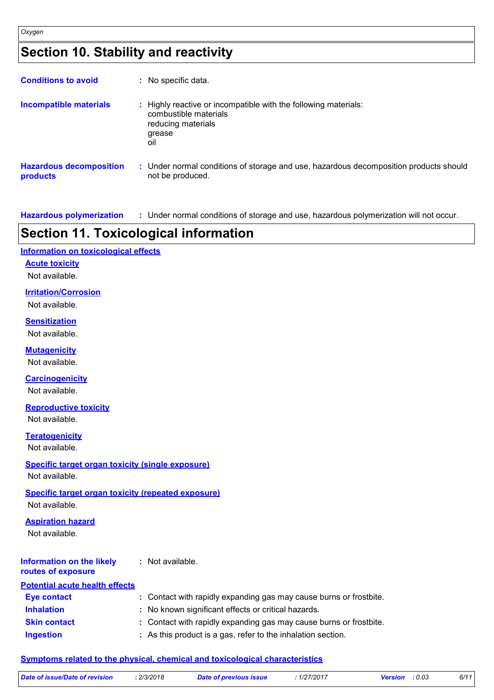### **Section 10. Stability and reactivity**

| <b>Conditions to avoid</b>                 | : No specific data.                                                                                                             |
|--------------------------------------------|---------------------------------------------------------------------------------------------------------------------------------|
| <b>Incompatible materials</b>              | : Highly reactive or incompatible with the following materials:<br>combustible materials<br>reducing materials<br>grease<br>oil |
| <b>Hazardous decomposition</b><br>products | : Under normal conditions of storage and use, hazardous decomposition products should<br>not be produced.                       |

**Hazardous polymerization :** Under normal conditions of storage and use, hazardous polymerization will not occur.

### **Section 11. Toxicological information**

#### **Information on toxicological effects**

#### **Acute toxicity**

Not available.

#### **Irritation/Corrosion**

Not available.

#### **Sensitization**

Not available.

#### **Mutagenicity**

Not available.

### **Carcinogenicity**

Not available.

#### **Reproductive toxicity** Not available.

**Teratogenicity**

Not available.

#### **Specific target organ toxicity (single exposure)**

Not available.

#### **Specific target organ toxicity (repeated exposure)**

Not available.

#### **Aspiration hazard**

Not available.

#### **Information on the likely routes of exposure :** Not available.

#### **Inhalation :** No known significant effects or critical hazards. **Ingestion :** As this product is a gas, refer to the inhalation section. **Skin contact :** Contact with rapidly expanding gas may cause burns or frostbite. **Eye contact :** Contact with rapidly expanding gas may cause burns or frostbite. **Potential acute health effects**

### **Symptoms related to the physical, chemical and toxicological characteristics**

| Date of issue/Date of revision | : 2/3/2018 | <b>Date of previous issue</b> | : 1/27/2017 | <b>Version</b> : 0.03 | 6/11 |
|--------------------------------|------------|-------------------------------|-------------|-----------------------|------|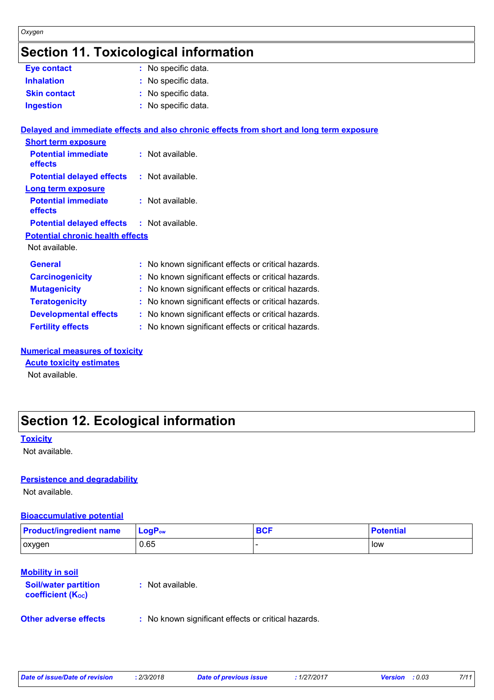### **Section 11. Toxicological information**

| Eye contact                                       | : No specific data.                                                                      |
|---------------------------------------------------|------------------------------------------------------------------------------------------|
| <b>Inhalation</b>                                 | No specific data.                                                                        |
| <b>Skin contact</b>                               | : No specific data.                                                                      |
| <b>Ingestion</b>                                  | : No specific data.                                                                      |
|                                                   | Delayed and immediate effects and also chronic effects from short and long term exposure |
| <b>Short term exposure</b>                        |                                                                                          |
| <b>Potential immediate</b><br>effects             | : Not available.                                                                         |
| <b>Potential delayed effects</b>                  | $:$ Not available.                                                                       |
| <b>Long term exposure</b>                         |                                                                                          |
| <b>Potential immediate</b><br>effects             | : Not available.                                                                         |
| <b>Potential delayed effects : Not available.</b> |                                                                                          |
| <b>Potential chronic health effects</b>           |                                                                                          |
| Not available.                                    |                                                                                          |
| <b>General</b>                                    | : No known significant effects or critical hazards.                                      |
| <b>Carcinogenicity</b>                            | : No known significant effects or critical hazards.                                      |
| <b>Mutagenicity</b>                               | : No known significant effects or critical hazards.                                      |
| <b>Teratogenicity</b>                             | : No known significant effects or critical hazards.                                      |
| <b>Developmental effects</b>                      | : No known significant effects or critical hazards.                                      |
| <b>Fertility effects</b>                          | : No known significant effects or critical hazards.                                      |
|                                                   |                                                                                          |

#### **Numerical measures of toxicity**

**Acute toxicity estimates**

Not available.

### **Section 12. Ecological information**

#### **Toxicity**

*Oxygen*

Not available.

#### **Persistence and degradability**

Not available.

#### **Bioaccumulative potential**

| <b>Product/ingredient name</b> | ∣ LoqP <sub>ow</sub> | <b>BCF</b> | <b>Potential</b> |
|--------------------------------|----------------------|------------|------------------|
| oxygen                         | 0.65                 |            | l low            |

#### **Mobility in soil**

| <b>Soil/water partition</b><br>coefficient (K <sub>oc</sub> ) | : Not available.                                    |
|---------------------------------------------------------------|-----------------------------------------------------|
| <b>Other adverse effects</b>                                  | : No known significant effects or critical hazards. |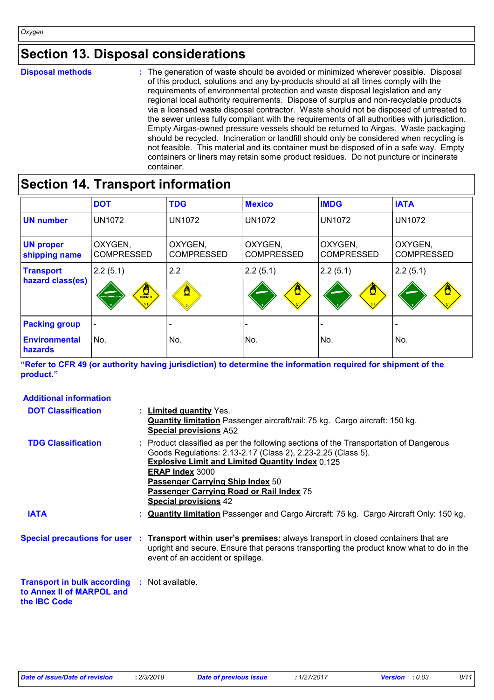### **Section 13. Disposal considerations**

**Disposal methods :**

The generation of waste should be avoided or minimized wherever possible. Disposal of this product, solutions and any by-products should at all times comply with the requirements of environmental protection and waste disposal legislation and any regional local authority requirements. Dispose of surplus and non-recyclable products via a licensed waste disposal contractor. Waste should not be disposed of untreated to the sewer unless fully compliant with the requirements of all authorities with jurisdiction. Empty Airgas-owned pressure vessels should be returned to Airgas. Waste packaging should be recycled. Incineration or landfill should only be considered when recycling is not feasible. This material and its container must be disposed of in a safe way. Empty containers or liners may retain some product residues. Do not puncture or incinerate container.

### **Section 14. Transport information**

|                                        | <b>DOT</b>                                         | <b>TDG</b>                   | <b>Mexico</b>                | <b>IMDG</b>                  | <b>IATA</b>                  |
|----------------------------------------|----------------------------------------------------|------------------------------|------------------------------|------------------------------|------------------------------|
| <b>UN number</b>                       | <b>UN1072</b>                                      | <b>UN1072</b>                | <b>UN1072</b>                | <b>UN1072</b>                | <b>UN1072</b>                |
| <b>UN proper</b><br>shipping name      | OXYGEN,<br><b>COMPRESSED</b>                       | OXYGEN,<br><b>COMPRESSED</b> | OXYGEN,<br><b>COMPRESSED</b> | OXYGEN,<br><b>COMPRESSED</b> | OXYGEN,<br><b>COMPRESSED</b> |
| <b>Transport</b><br>hazard class(es)   | 2.2(5.1)<br>$rac{Q}{\sqrt{Q}}$<br>NON-FLAMMABLE GA | 2.2<br>ô                     | 2.2(5.1)                     | 2.2(5.1)                     | 2.2(5.1)                     |
| <b>Packing group</b>                   |                                                    |                              |                              |                              |                              |
| <b>Environmental</b><br><b>hazards</b> | No.                                                | No.                          | No.                          | No.                          | No.                          |

**"Refer to CFR 49 (or authority having jurisdiction) to determine the information required for shipment of the product."** 

| <b>Additional information</b>                                                                           |                                                                                                                                                                                                                                                                                                                                                            |
|---------------------------------------------------------------------------------------------------------|------------------------------------------------------------------------------------------------------------------------------------------------------------------------------------------------------------------------------------------------------------------------------------------------------------------------------------------------------------|
| <b>DOT Classification</b>                                                                               | : Limited quantity Yes.<br><b>Quantity limitation</b> Passenger aircraft/rail: 75 kg. Cargo aircraft: 150 kg.<br><b>Special provisions A52</b>                                                                                                                                                                                                             |
| <b>TDG Classification</b>                                                                               | : Product classified as per the following sections of the Transportation of Dangerous<br>Goods Regulations: 2.13-2.17 (Class 2), 2.23-2.25 (Class 5).<br><b>Explosive Limit and Limited Quantity Index 0.125</b><br><b>ERAP Index 3000</b><br>Passenger Carrying Ship Index 50<br>Passenger Carrying Road or Rail Index 75<br><b>Special provisions 42</b> |
| <b>IATA</b>                                                                                             | : <b>Quantity limitation</b> Passenger and Cargo Aircraft: 75 kg. Cargo Aircraft Only: 150 kg.                                                                                                                                                                                                                                                             |
|                                                                                                         | Special precautions for user : Transport within user's premises: always transport in closed containers that are<br>upright and secure. Ensure that persons transporting the product know what to do in the<br>event of an accident or spillage.                                                                                                            |
| <b>Transport in bulk according : Not available.</b><br>to Annex II of MARPOL and<br>the <b>IBC</b> Code |                                                                                                                                                                                                                                                                                                                                                            |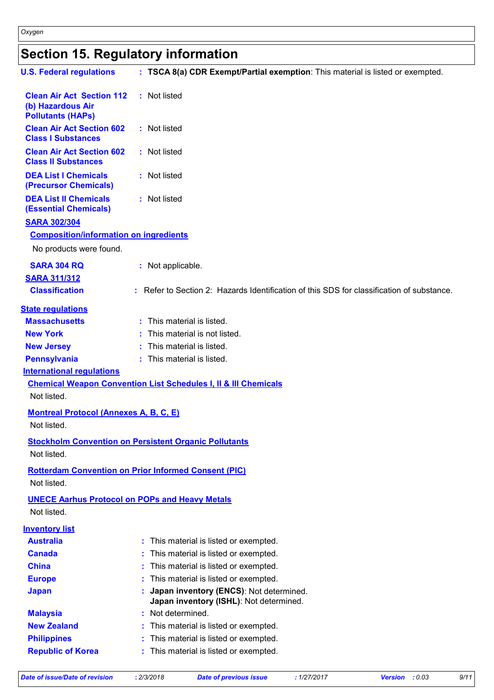## **Section 15. Regulatory information**

| <b>U.S. Federal regulations</b>                                                   | : TSCA 8(a) CDR Exempt/Partial exemption: This material is listed or exempted.            |
|-----------------------------------------------------------------------------------|-------------------------------------------------------------------------------------------|
| <b>Clean Air Act Section 112</b><br>(b) Hazardous Air<br><b>Pollutants (HAPs)</b> | : Not listed                                                                              |
| <b>Clean Air Act Section 602</b><br><b>Class I Substances</b>                     | : Not listed                                                                              |
| <b>Clean Air Act Section 602</b><br><b>Class II Substances</b>                    | : Not listed                                                                              |
| <b>DEA List I Chemicals</b><br>(Precursor Chemicals)                              | : Not listed                                                                              |
| <b>DEA List II Chemicals</b><br><b>(Essential Chemicals)</b>                      | : Not listed                                                                              |
| <b>SARA 302/304</b>                                                               |                                                                                           |
| <b>Composition/information on ingredients</b>                                     |                                                                                           |
| No products were found.                                                           |                                                                                           |
| <b>SARA 304 RQ</b>                                                                | : Not applicable.                                                                         |
| <b>SARA 311/312</b>                                                               |                                                                                           |
| <b>Classification</b>                                                             | : Refer to Section 2: Hazards Identification of this SDS for classification of substance. |
| <b>State regulations</b>                                                          |                                                                                           |
| <b>Massachusetts</b>                                                              | : This material is listed.                                                                |
| <b>New York</b>                                                                   | This material is not listed.                                                              |
| <b>New Jersey</b>                                                                 | : This material is listed.                                                                |
| <b>Pennsylvania</b>                                                               | : This material is listed.                                                                |
| <b>International requlations</b><br>Not listed.                                   | <b>Chemical Weapon Convention List Schedules I, II &amp; III Chemicals</b>                |
| <b>Montreal Protocol (Annexes A, B, C, E)</b><br>Not listed.                      |                                                                                           |
| Not listed.                                                                       | <b>Stockholm Convention on Persistent Organic Pollutants</b>                              |
| Not listed.                                                                       | <b>Rotterdam Convention on Prior Informed Consent (PIC)</b>                               |
| <b>UNECE Aarhus Protocol on POPs and Heavy Metals</b><br>Not listed.              |                                                                                           |
| <b>Inventory list</b>                                                             |                                                                                           |
| <b>Australia</b>                                                                  | This material is listed or exempted.                                                      |
| <b>Canada</b>                                                                     | This material is listed or exempted.                                                      |
| <b>China</b>                                                                      | This material is listed or exempted.                                                      |
| <b>Europe</b>                                                                     | This material is listed or exempted.                                                      |
| <b>Japan</b>                                                                      | Japan inventory (ENCS): Not determined.<br>Japan inventory (ISHL): Not determined.        |
| <b>Malaysia</b>                                                                   | Not determined.                                                                           |
| <b>New Zealand</b>                                                                | This material is listed or exempted.                                                      |
| <b>Philippines</b>                                                                | This material is listed or exempted.                                                      |
| <b>Republic of Korea</b>                                                          | This material is listed or exempted.                                                      |

*Date of issue/Date of revision* **:** *2/3/2018 Date of previous issue : 1/27/2017 Version : 0.03 9/11*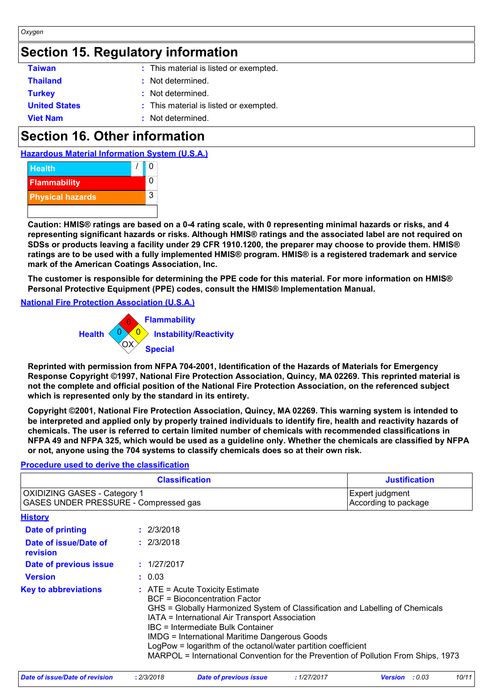### **Section 15. Regulatory information**

| <b>Taiwan</b>        | : This material is listed or exempted. |
|----------------------|----------------------------------------|
| <b>Thailand</b>      | : Not determined.                      |
| <b>Turkey</b>        | : Not determined.                      |
| <b>United States</b> | : This material is listed or exempted. |
| <b>Viet Nam</b>      | : Not determined.                      |

### **Section 16. Other information**





**Caution: HMIS® ratings are based on a 0-4 rating scale, with 0 representing minimal hazards or risks, and 4 representing significant hazards or risks. Although HMIS® ratings and the associated label are not required on SDSs or products leaving a facility under 29 CFR 1910.1200, the preparer may choose to provide them. HMIS® ratings are to be used with a fully implemented HMIS® program. HMIS® is a registered trademark and service mark of the American Coatings Association, Inc.**

**The customer is responsible for determining the PPE code for this material. For more information on HMIS® Personal Protective Equipment (PPE) codes, consult the HMIS® Implementation Manual.**

#### **National Fire Protection Association (U.S.A.)**



**Reprinted with permission from NFPA 704-2001, Identification of the Hazards of Materials for Emergency Response Copyright ©1997, National Fire Protection Association, Quincy, MA 02269. This reprinted material is not the complete and official position of the National Fire Protection Association, on the referenced subject which is represented only by the standard in its entirety.**

**Copyright ©2001, National Fire Protection Association, Quincy, MA 02269. This warning system is intended to be interpreted and applied only by properly trained individuals to identify fire, health and reactivity hazards of chemicals. The user is referred to certain limited number of chemicals with recommended classifications in NFPA 49 and NFPA 325, which would be used as a guideline only. Whether the chemicals are classified by NFPA or not, anyone using the 704 systems to classify chemicals does so at their own risk.**

#### **Procedure used to derive the classification**

| <b>Classification</b>                                                        |                                         |                                                                                                                                                                                                                                                                                                                                                                                                                                                           | <b>Justification</b> |
|------------------------------------------------------------------------------|-----------------------------------------|-----------------------------------------------------------------------------------------------------------------------------------------------------------------------------------------------------------------------------------------------------------------------------------------------------------------------------------------------------------------------------------------------------------------------------------------------------------|----------------------|
| <b>OXIDIZING GASES - Category 1</b><br>GASES UNDER PRESSURE - Compressed gas | Expert judgment<br>According to package |                                                                                                                                                                                                                                                                                                                                                                                                                                                           |                      |
| <b>History</b>                                                               |                                         |                                                                                                                                                                                                                                                                                                                                                                                                                                                           |                      |
| Date of printing                                                             |                                         | : 2/3/2018                                                                                                                                                                                                                                                                                                                                                                                                                                                |                      |
| Date of issue/Date of<br>revision                                            |                                         | : 2/3/2018                                                                                                                                                                                                                                                                                                                                                                                                                                                |                      |
| Date of previous issue                                                       |                                         | : 1/27/2017                                                                                                                                                                                                                                                                                                                                                                                                                                               |                      |
| <b>Version</b>                                                               |                                         | : 0.03                                                                                                                                                                                                                                                                                                                                                                                                                                                    |                      |
| <b>Key to abbreviations</b>                                                  |                                         | $:$ ATE = Acute Toxicity Estimate<br>BCF = Bioconcentration Factor<br>GHS = Globally Harmonized System of Classification and Labelling of Chemicals<br>IATA = International Air Transport Association<br>IBC = Intermediate Bulk Container<br><b>IMDG = International Maritime Dangerous Goods</b><br>LogPow = logarithm of the octanol/water partition coefficient<br>MARPOL = International Convention for the Prevention of Pollution From Ships, 1973 |                      |

| Date of issue/Date of revision | 2/3/2018 | Date of previous issue | 1/27/2017 | : 0.03<br><b>Version</b> | 10/11 |
|--------------------------------|----------|------------------------|-----------|--------------------------|-------|
|                                |          |                        |           |                          |       |